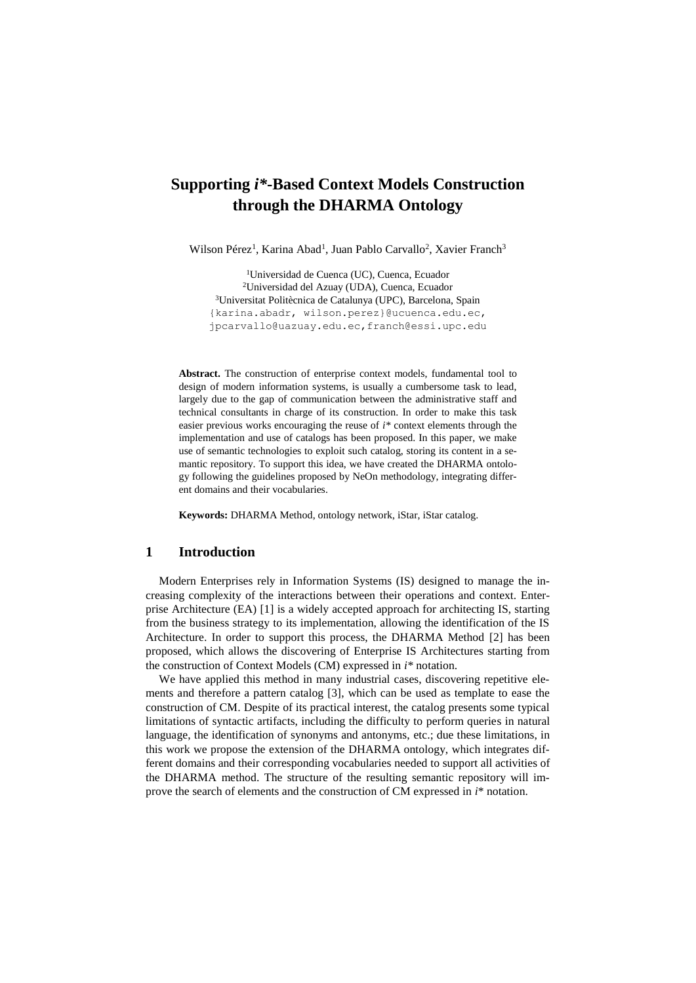# **Supporting** *i\****-Based Context Models Construction through the DHARMA Ontology**

Wilson Pérez<sup>1</sup>, Karina Abad<sup>1</sup>, Juan Pablo Carvallo<sup>2</sup>, Xavier Franch<sup>3</sup>

<sup>1</sup>Universidad de Cuenca (UC), Cuenca, Ecuador <sup>2</sup>Universidad del Azuay (UDA), Cuenca, Ecuador <sup>3</sup>Universitat Politècnica de Catalunya (UPC), Barcelona, Spain {karina.abadr, [wilson.perez}@ucuenca.edu.ec,](mailto:wilson.perez%7d@ucuenca.edu.ec) [jpcarvallo@uazuay.edu.ec,](mailto:jpcarvallo@uazuay.edu.ec)franch@essi.upc.edu

**Abstract.** The construction of enterprise context models, fundamental tool to design of modern information systems, is usually a cumbersome task to lead, largely due to the gap of communication between the administrative staff and technical consultants in charge of its construction. In order to make this task easier previous works encouraging the reuse of *i\** context elements through the implementation and use of catalogs has been proposed. In this paper, we make use of semantic technologies to exploit such catalog, storing its content in a semantic repository. To support this idea, we have created the DHARMA ontology following the guidelines proposed by NeOn methodology, integrating different domains and their vocabularies.

**Keywords:** DHARMA Method, ontology network, iStar, iStar catalog.

## **1 Introduction**

Modern Enterprises rely in Information Systems (IS) designed to manage the increasing complexity of the interactions between their operations and context. Enterprise Architecture (EA) [1] is a widely accepted approach for architecting IS, starting from the business strategy to its implementation, allowing the identification of the IS Architecture. In order to support this process, the DHARMA Method [2] has been proposed, which allows the discovering of Enterprise IS Architectures starting from the construction of Context Models (CM) expressed in *i\** notation.

We have applied this method in many industrial cases, discovering repetitive elements and therefore a pattern catalog [3], which can be used as template to ease the construction of CM. Despite of its practical interest, the catalog presents some typical limitations of syntactic artifacts, including the difficulty to perform queries in natural language, the identification of synonyms and antonyms, etc.; due these limitations, in this work we propose the extension of the DHARMA ontology, which integrates different domains and their corresponding vocabularies needed to support all activities of the DHARMA method. The structure of the resulting semantic repository will improve the search of elements and the construction of CM expressed in *i*\* notation.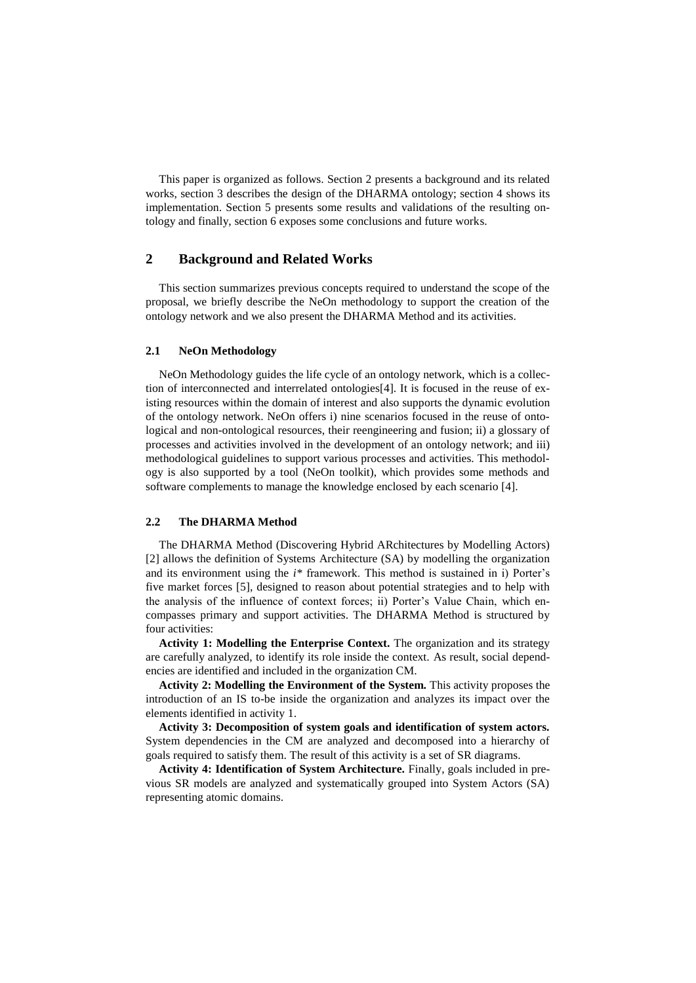This paper is organized as follows. Section 2 presents a background and its related works, section 3 describes the design of the DHARMA ontology; section 4 shows its implementation. Section 5 presents some results and validations of the resulting ontology and finally, section 6 exposes some conclusions and future works.

# **2 Background and Related Works**

This section summarizes previous concepts required to understand the scope of the proposal, we briefly describe the NeOn methodology to support the creation of the ontology network and we also present the DHARMA Method and its activities.

### **2.1 NeOn Methodology**

NeOn Methodology guides the life cycle of an ontology network, which is a collection of interconnected and interrelated ontologies[4]. It is focused in the reuse of existing resources within the domain of interest and also supports the dynamic evolution of the ontology network. NeOn offers i) nine scenarios focused in the reuse of ontological and non-ontological resources, their reengineering and fusion; ii) a glossary of processes and activities involved in the development of an ontology network; and iii) methodological guidelines to support various processes and activities. This methodology is also supported by a tool (NeOn toolkit), which provides some methods and software complements to manage the knowledge enclosed by each scenario [4].

#### **2.2 The DHARMA Method**

The DHARMA Method (Discovering Hybrid ARchitectures by Modelling Actors) [2] allows the definition of Systems Architecture (SA) by modelling the organization and its environment using the *i\** framework. This method is sustained in i) Porter's five market forces [5], designed to reason about potential strategies and to help with the analysis of the influence of context forces; ii) Porter's Value Chain, which encompasses primary and support activities. The DHARMA Method is structured by four activities:

**Activity 1: Modelling the Enterprise Context.** The organization and its strategy are carefully analyzed, to identify its role inside the context. As result, social dependencies are identified and included in the organization CM.

**Activity 2: Modelling the Environment of the System.** This activity proposes the introduction of an IS to-be inside the organization and analyzes its impact over the elements identified in activity 1.

**Activity 3: Decomposition of system goals and identification of system actors.** System dependencies in the CM are analyzed and decomposed into a hierarchy of goals required to satisfy them. The result of this activity is a set of SR diagrams.

**Activity 4: Identification of System Architecture.** Finally, goals included in previous SR models are analyzed and systematically grouped into System Actors (SA) representing atomic domains.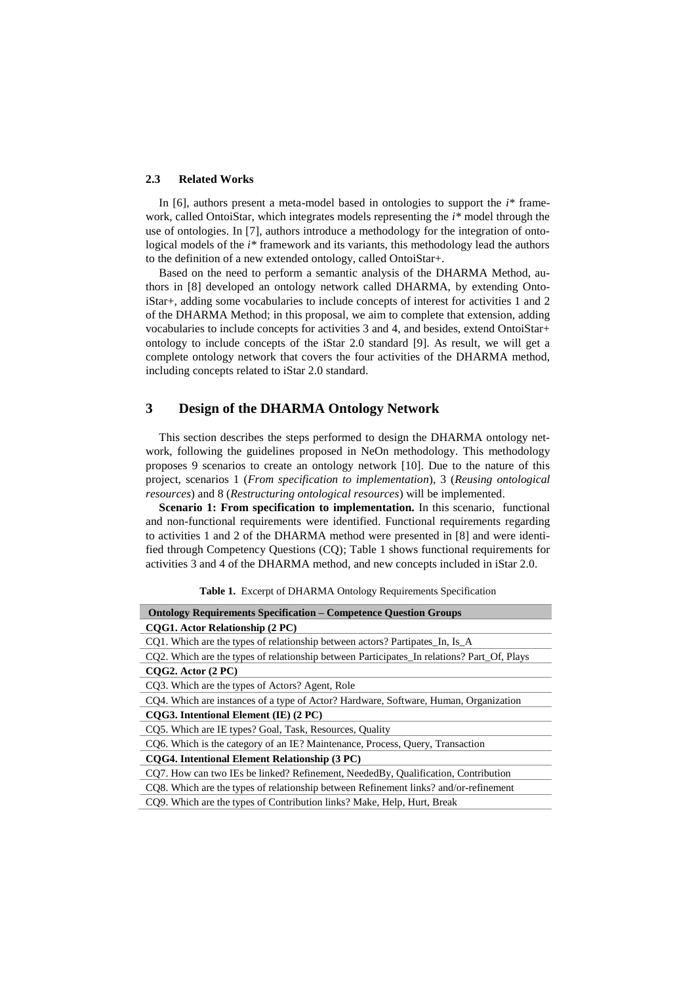#### **2.3 Related Works**

In [6], authors present a meta-model based in ontologies to support the *i\** framework, called OntoiStar, which integrates models representing the *i\** model through the use of ontologies. In [7], authors introduce a methodology for the integration of ontological models of the *i\** framework and its variants, this methodology lead the authors to the definition of a new extended ontology, called OntoiStar+.

Based on the need to perform a semantic analysis of the DHARMA Method, authors in [8] developed an ontology network called DHARMA, by extending OntoiStar+, adding some vocabularies to include concepts of interest for activities 1 and 2 of the DHARMA Method; in this proposal, we aim to complete that extension, adding vocabularies to include concepts for activities 3 and 4, and besides, extend OntoiStar+ ontology to include concepts of the iStar 2.0 standard [9]. As result, we will get a complete ontology network that covers the four activities of the DHARMA method, including concepts related to iStar 2.0 standard.

# **3 Design of the DHARMA Ontology Network**

This section describes the steps performed to design the DHARMA ontology network, following the guidelines proposed in NeOn methodology. This methodology proposes 9 scenarios to create an ontology network [10]. Due to the nature of this project, scenarios 1 (*From specification to implementation*), 3 (*Reusing ontological resources*) and 8 (*Restructuring ontological resources*) will be implemented.

**Scenario 1: From specification to implementation.** In this scenario, functional and non-functional requirements were identified. Functional requirements regarding to activities 1 and 2 of the DHARMA method were presented in [8] and were identified through Competency Questions (CQ); Table 1 shows functional requirements for activities 3 and 4 of the DHARMA method, and new concepts included in iStar 2.0.

| <b>Ontology Requirements Specification – Competence Question Groups</b>                    |  |  |
|--------------------------------------------------------------------------------------------|--|--|
| COG1. Actor Relationship (2 PC)                                                            |  |  |
| CO1. Which are the types of relationship between actors? Partipates In, Is A               |  |  |
| CQ2. Which are the types of relationship between Participates In relations? Part Of, Plays |  |  |
| $COG2$ . Actor $(2 PC)$                                                                    |  |  |
| CQ3. Which are the types of Actors? Agent, Role                                            |  |  |
| CQ4. Which are instances of a type of Actor? Hardware, Software, Human, Organization       |  |  |
| COG3. Intentional Element (IE) (2 PC)                                                      |  |  |
| CQ5. Which are IE types? Goal, Task, Resources, Quality                                    |  |  |
| CQ6. Which is the category of an IE? Maintenance, Process, Query, Transaction              |  |  |
| CQG4. Intentional Element Relationship (3 PC)                                              |  |  |
| CO7. How can two IEs be linked? Refinement, NeededBy, Qualification, Contribution          |  |  |
| CO8. Which are the types of relationship between Refinement links? and/or-refinement       |  |  |
| CQ9. Which are the types of Contribution links? Make, Help, Hurt, Break                    |  |  |

**Table 1.** Excerpt of DHARMA Ontology Requirements Specification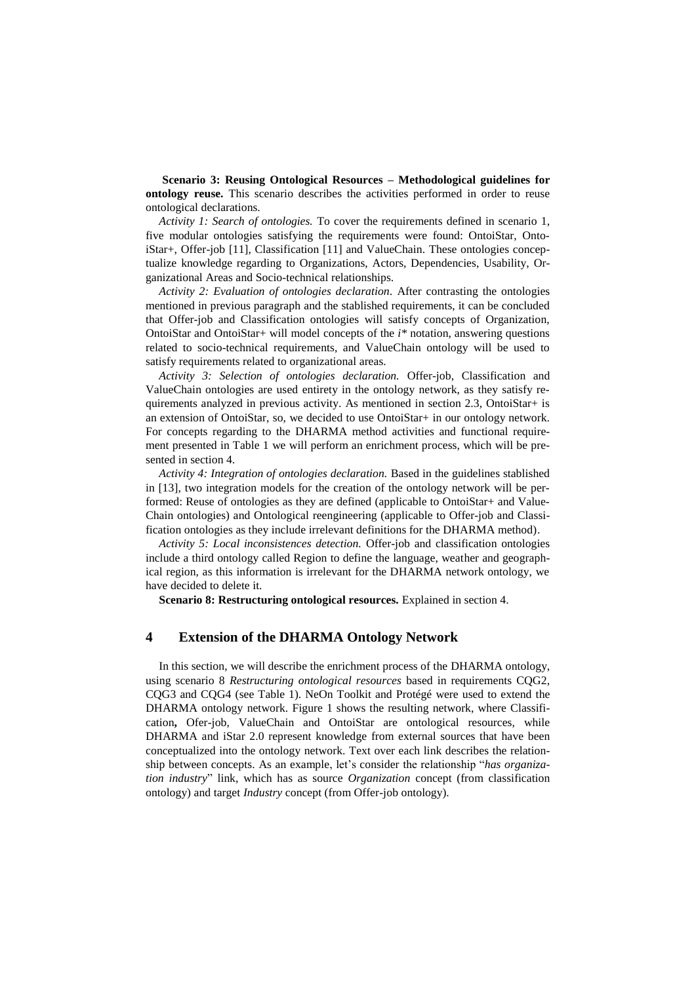**Scenario 3: Reusing Ontological Resources – Methodological guidelines for ontology reuse.** This scenario describes the activities performed in order to reuse ontological declarations.

*Activity 1: Search of ontologies.* To cover the requirements defined in scenario 1, five modular ontologies satisfying the requirements were found: OntoiStar, OntoiStar+, Offer-job [11], Classification [11] and ValueChain. These ontologies conceptualize knowledge regarding to Organizations, Actors, Dependencies, Usability, Organizational Areas and Socio-technical relationships.

*Activity 2: Evaluation of ontologies declaration.* After contrasting the ontologies mentioned in previous paragraph and the stablished requirements, it can be concluded that Offer-job and Classification ontologies will satisfy concepts of Organization, OntoiStar and OntoiStar+ will model concepts of the *i\** notation, answering questions related to socio-technical requirements, and ValueChain ontology will be used to satisfy requirements related to organizational areas.

*Activity 3: Selection of ontologies declaration.* Offer-job, Classification and ValueChain ontologies are used entirety in the ontology network, as they satisfy requirements analyzed in previous activity. As mentioned in section 2.3, OntoiStar+ is an extension of OntoiStar, so, we decided to use OntoiStar+ in our ontology network. For concepts regarding to the DHARMA method activities and functional requirement presented in Table 1 we will perform an enrichment process, which will be presented in section 4.

*Activity 4: Integration of ontologies declaration.* Based in the guidelines stablished in [13], two integration models for the creation of the ontology network will be performed: Reuse of ontologies as they are defined (applicable to OntoiStar+ and Value-Chain ontologies) and Ontological reengineering (applicable to Offer-job and Classification ontologies as they include irrelevant definitions for the DHARMA method).

*Activity 5: Local inconsistences detection.* Offer-job and classification ontologies include a third ontology called Region to define the language, weather and geographical region, as this information is irrelevant for the DHARMA network ontology, we have decided to delete it.

**Scenario 8: Restructuring ontological resources.** Explained in section 4.

### **4 Extension of the DHARMA Ontology Network**

In this section, we will describe the enrichment process of the DHARMA ontology, using scenario 8 *Restructuring ontological resources* based in requirements CQG2, CQG3 and CQG4 (see Table 1). NeOn Toolkit and Protégé were used to extend the DHARMA ontology network. Figure 1 shows the resulting network, where Classification**,** Ofer-job, ValueChain and OntoiStar are ontological resources, while DHARMA and iStar 2.0 represent knowledge from external sources that have been conceptualized into the ontology network. Text over each link describes the relationship between concepts. As an example, let's consider the relationship "*has organization industry*" link, which has as source *Organization* concept (from classification ontology) and target *Industry* concept (from Offer-job ontology).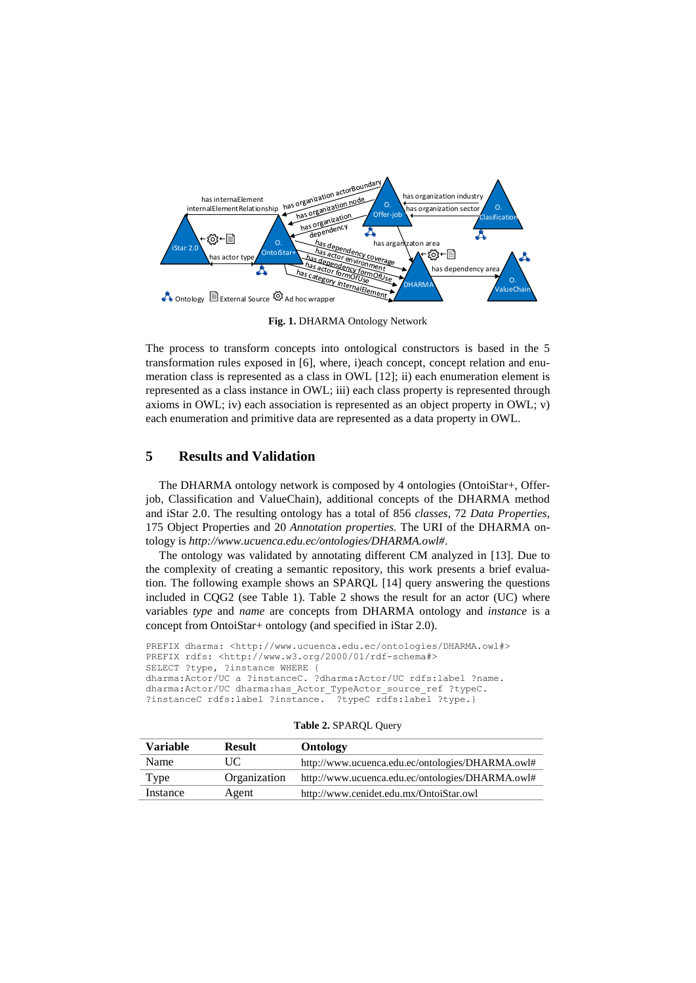

**Fig. 1.** DHARMA Ontology Network

The process to transform concepts into ontological constructors is based in the 5 transformation rules exposed in [6], where, i)each concept, concept relation and enumeration class is represented as a class in OWL [12]; ii) each enumeration element is represented as a class instance in OWL; iii) each class property is represented through axioms in OWL; iv) each association is represented as an object property in OWL; v) each enumeration and primitive data are represented as a data property in OWL.

# **5 Results and Validation**

The DHARMA ontology network is composed by 4 ontologies (OntoiStar+, Offerjob, Classification and ValueChain), additional concepts of the DHARMA method and iStar 2.0. The resulting ontology has a total of 856 *classes*, 72 *Data Properties*, 175 Object Properties and 20 *Annotation properties.* The URI of the DHARMA ontology is *[http://www.ucuenca.edu.ec/ontologies/DHARMA.owl#.](http://www.ucuenca.edu.ec/ontologies/DHARMA.owl)*

The ontology was validated by annotating different CM analyzed in [13]. Due to the complexity of creating a semantic repository, this work presents a brief evaluation. The following example shows an SPARQL [14] query answering the questions included in CQG2 (see Table 1). Table 2 shows the result for an actor (UC) where variables *type* and *name* are concepts from DHARMA ontology and *instance* is a concept from OntoiStar+ ontology (and specified in iStar 2.0).

```
PREFIX dharma: <http://www.ucuenca.edu.ec/ontologies/DHARMA.owl#>
PREFIX rdfs: <http://www.w3.org/2000/01/rdf-schema#>
SELECT ?type, ?instance WHERE
dharma:Actor/UC a ?instanceC. ?dharma:Actor/UC rdfs:label ?name.
dharma:Actor/UC dharma:has_Actor_TypeActor_source_ref ?typeC.<br>?instanceC rdfs:label ?instance. ?typeC rdfs:label ?type.}
?instanceC rdfs:label ?instance.
```

| Variable | <b>Result</b> | Ontology                                         |
|----------|---------------|--------------------------------------------------|
| Name     | UC            | http://www.ucuenca.edu.ec/ontologies/DHARMA.owl# |
| Type     | Organization  | http://www.ucuenca.edu.ec/ontologies/DHARMA.owl# |
| Instance | Agent         | http://www.cenidet.edu.mx/OntoiStar.owl          |

**Table 2.** SPARQL Query